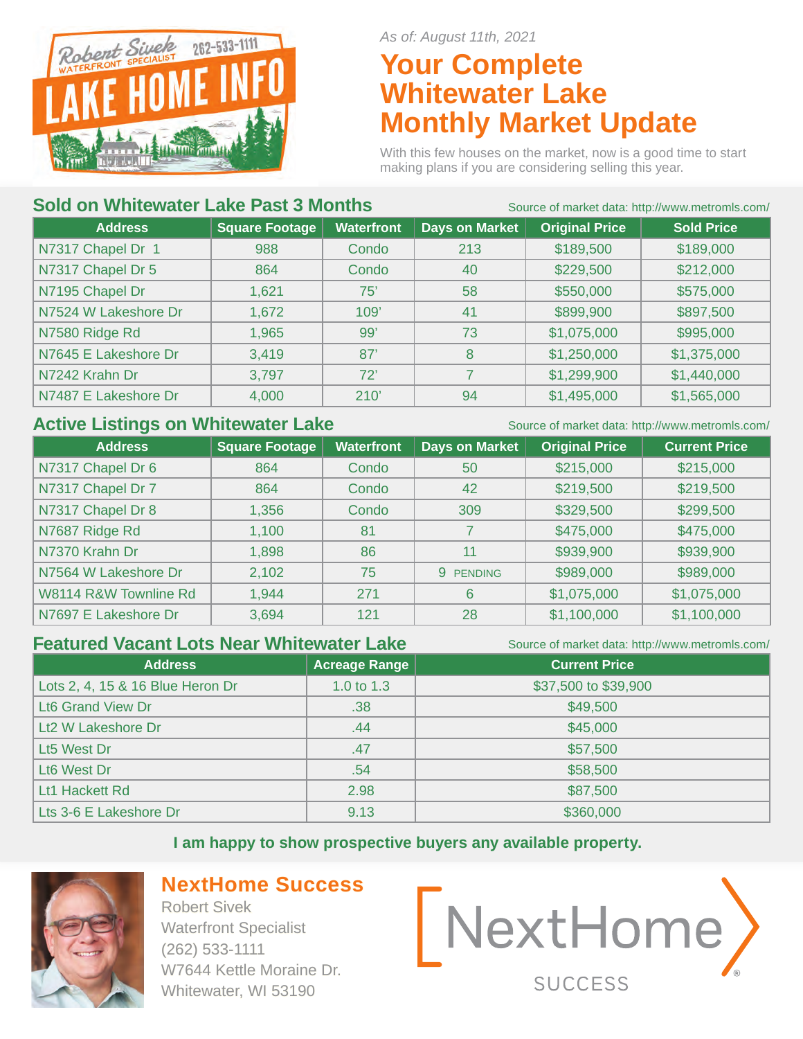

*As of: August 11th, 2021*

# **Your Complete Whitewater Lake Monthly Market Update**

With this few houses on the market, now is a good time to start making plans if you are considering selling this year.

#### **Sold on Whitewater Lake Past 3 Months** Source of market data: http://www.metromls.com/

| <b>Address</b>       | <b>Square Footage</b> | <b>Waterfront</b> | <b>Days on Market</b> | <b>Original Price</b> | <b>Sold Price</b> |  |
|----------------------|-----------------------|-------------------|-----------------------|-----------------------|-------------------|--|
| N7317 Chapel Dr 1    | 988                   | Condo             | 213                   | \$189,500             | \$189,000         |  |
| N7317 Chapel Dr 5    | 864                   | Condo             | 40                    | \$229,500             | \$212,000         |  |
| N7195 Chapel Dr      | 1,621                 | 75'               | 58                    | \$550,000             | \$575,000         |  |
| N7524 W Lakeshore Dr | 1,672                 | 109'              | 41                    | \$899,900             | \$897,500         |  |
| N7580 Ridge Rd       | 1,965                 | 99'               | 73                    | \$1,075,000           | \$995,000         |  |
| N7645 E Lakeshore Dr | 3,419                 | 87'               | 8                     | \$1,250,000           | \$1,375,000       |  |
| N7242 Krahn Dr       | 3,797                 | 72'               | 7                     | \$1,299,900           | \$1,440,000       |  |
| N7487 E Lakeshore Dr | 4,000                 | 210'              | 94                    | \$1,495,000           | \$1,565,000       |  |

#### Active Listings on Whitewater Lake Source of market data: http://www.metromls.com/

| <b>Address</b>        | <b>Square Footage</b> | <b>Waterfront</b> | <b>Days on Market</b> | <b>Original Price</b> | <b>Current Price</b> |
|-----------------------|-----------------------|-------------------|-----------------------|-----------------------|----------------------|
| N7317 Chapel Dr 6     | 864                   | Condo             | 50                    | \$215,000             | \$215,000            |
| N7317 Chapel Dr 7     | 864                   | Condo             | 42                    | \$219,500             | \$219,500            |
| N7317 Chapel Dr 8     | 1,356                 | Condo             | 309                   | \$329,500             | \$299,500            |
| N7687 Ridge Rd        | 1,100                 | 81                |                       | \$475,000             | \$475,000            |
| N7370 Krahn Dr        | 1,898                 | 86                | 11                    | \$939,900             | \$939,900            |
| N7564 W Lakeshore Dr  | 2,102                 | 75                | 9 PENDING             | \$989,000             | \$989,000            |
| W8114 R&W Townline Rd | 1,944                 | 271               | 6                     | \$1,075,000           | \$1,075,000          |
| N7697 E Lakeshore Dr  | 3,694                 | 121               | 28                    | \$1,100,000           | \$1,100,000          |

#### **Featured Vacant Lots Near Whitewater Lake** Source of market data: http://www.metromls.com/

| <b>Address</b>                   | <b>Acreage Range</b> | <b>Current Price</b> |
|----------------------------------|----------------------|----------------------|
| Lots 2, 4, 15 & 16 Blue Heron Dr | 1.0 to $1.3$         | \$37,500 to \$39,900 |
| Lt6 Grand View Dr                | .38                  | \$49,500             |
| Lt2 W Lakeshore Dr               | .44                  | \$45,000             |
| Lt5 West Dr                      | .47                  | \$57,500             |
| Lt6 West Dr                      | .54                  | \$58,500             |
| Lt1 Hackett Rd                   | 2.98                 | \$87,500             |
| Lts 3-6 E Lakeshore Dr           | 9.13                 | \$360,000            |

#### **I am happy to show prospective buyers any available property.**



# **NextHome Success**

Robert Sivek Waterfront Specialist (262) 533-1111 W7644 Kettle Moraine Dr. Whitewater, WI 53190